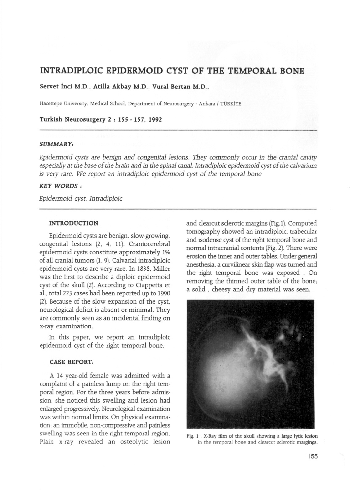# **INTRADIPLOIC EPIDERMOID CYST OF THE TEMPORAL BONE**

**Servet inci** M.D.. **Atilla Akbay** M.D., **Vural Bertan** M.D .•

Hacettepe University. Medical School. Department of Neurosurgery - Ankara / TÜRKİYE

### **Turkish Neurosurgery 2 : IS5** - IS7. **1992**

### *SUMMARY:*

*Epidermoid cysts are benign and congenital lesions. They commonly occur in the cranial cavity* especially at the base of the brain and in the spinal canal. Intradiploic epidermoid cyst of the calvarium *is very rare.* We *report an intradiploic epidermoid cyst of the temporal bone*

### *KEY WORDS:*

*Epidermoid cyst. Intradiploic*

#### **INTRODUCTION**

Epidermoid cysts are benign. slow-growing. congenital lesions (2. 4. 11). Craniocerebral epidermoid cysts constitute approximately 1% of all cranial tumors (1. 9). Calvarial intradiploic epidermoid cysts are very rare. In 1838. Miller was the first to describe a diploic epidermoid cyst of the skull (2). According to Ciappetta et al.. total 223 cases had been reported up to 1990 (2). Because of the slow expansion of the cyst. neurological deficit is absent or minimal. They are commonly seen as an incidental finding on x-ray examination.

In this paper. we report an intradiploic epidermoid cyst of the right temporal bone.

### **CASE REPORT:**

A 14 year-old female was admitted with a complaint of a painless lump on the right temporal region. For the three years before admission. she noticed this swelling and lesion had enlarged progressively. Neurological examination was within normal limits. On physical examination; an immobile. non-compressive and painless swelling was seen in the right temporal region. plain x-ray revealed an osteolytic lesion and clearcut sclerotic margins (Fig.l). Computed tomography showed an intradiploic. trabecular and isodense cyst of the right temporal bone and normal intracranial contents (Fig. 2). There were erosion the inner and outer tables. Under general anesthesia. a curvilinear skin flap was turned and the right temporal bone was exposed . On removing the thinned outer table of the bone; a solid , cheesy and dry material was seen.



Fig. 1 : X-Ray film of the skull showing a large lytic lesion in the temporal bone and dearcut sderotic margings.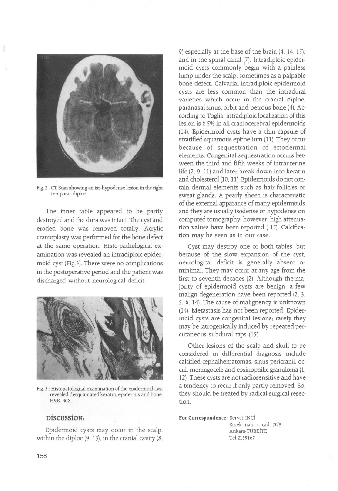

Fig. 2 : CT Scan showing an iso-hypodense lesion in the right temporal diploe.

The inner table appeared to be partly destroyed and the dura was intact. The cyst and eroded bone was removed totally. Acrylic cranioplasty was performed for the bone defect at the same operation. Histo-pathological examination was revealed an intradiploic epidermoid cyst (Fig.3). There were no complications in the postoperative period and the patient was discharged without neurological deficit.



Fig. 3 : Histopatological examination of the epidermoid cyst revealed desquamated keratin, epidermis and bone. H&E.40X.

## **DiscussioN:**

Epidermoid cysts may occur in the scalp. within the diploe  $(9, 13)$ , in the cranial cavity  $(8, 13)$  9) especially at the base of the brain (4, 14, 15). and in the spinal canal (7). Intradiploic epidermoid cysts commonly begin with a painless lump under the scalp. sometimes as a palpable bone defect. Calvarial intradiploic epidermoid cysts are less common than the intradural varieties which occur in the cranial diploe. paranasal sinus, orbit and petrous bone (4). According to Toglia. intradiploic localization of this lesion is 6.5%in all craniocerebral epidermoids (14). Epidermoid cysts have a thin capsule of stratified squamous epithelium (11). They occur because of sequestration of ectodermal elements. Congenital sequestration occurs between the third and fifth weeks of intrauterine life (2. 9. 11) and later break down into keratin and cholesterol (10. 11). Epidermoids do not contain dermal elements such as hair follicles or sweat glands. A pearly sheen is characteristic of the external apparance of many epidermoids and they are usually isodense or hypodense on computed tomography; however. high attenuation values have been reported (15). Calcification may be seen as in our case.

Cyst may destroy one or both tables. but because of the slow expansion of the cyst. neurological defidt is generally absent or minimal. They may occur at any age from the first to seventh decades (2). Although the majority of epidermoid cysts are benign. a few malign degeneration have been reported (2. 3. 5. 6. 14). The cause of malignency is unknown (14). Metastasis has not been reported. Epidermoid cysts are congenital lesions; rarely they may be iatrogenically induced by repeated percutaneous subdural taps (15).

Other lesions of the scalp and skull to be considered in differential diagnosis include calcified cephalhematomas, sinus pericranii, occult meningocele and eosinophilic granuloma (1. 12). These cysts are not radiosensitive and have a tendency to recur if only partly removed. So. they should be treated by radical surgical resection.

**For Correspondence:** Servet iNCi Emek mah. 4, cad. 70/8 Ankara-TURKiYE Te1:2135167